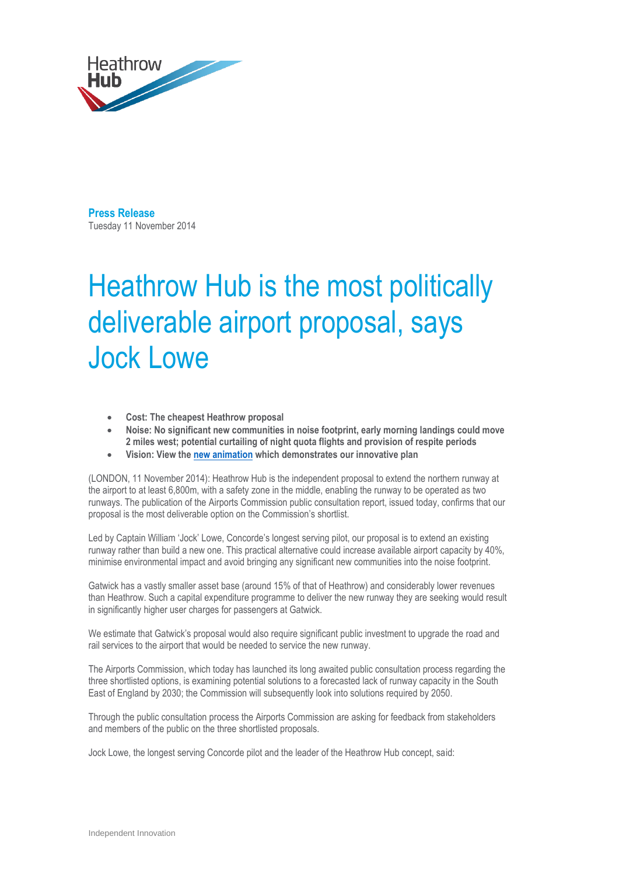

**Press Release**  Tuesday 11 November 2014

## Heathrow Hub is the most politically deliverable airport proposal, says Jock Lowe

- **Cost: The cheapest Heathrow proposal**
- **Noise: No significant new communities in noise footprint, early morning landings could move 2 miles west; potential curtailing of night quota flights and provision of respite periods**
- **Vision: View the [new animation](http://www.heathrowhub.com/) which demonstrates our innovative plan**

(LONDON, 11 November 2014): Heathrow Hub is the independent proposal to extend the northern runway at the airport to at least 6,800m, with a safety zone in the middle, enabling the runway to be operated as two runways. The publication of the Airports Commission public consultation report, issued today, confirms that our proposal is the most deliverable option on the Commission's shortlist.

Led by Captain William 'Jock' Lowe, Concorde's longest serving pilot, our proposal is to extend an existing runway rather than build a new one. This practical alternative could increase available airport capacity by 40%, minimise environmental impact and avoid bringing any significant new communities into the noise footprint.

Gatwick has a vastly smaller asset base (around 15% of that of Heathrow) and considerably lower revenues than Heathrow. Such a capital expenditure programme to deliver the new runway they are seeking would result in significantly higher user charges for passengers at Gatwick.

We estimate that Gatwick's proposal would also require significant public investment to upgrade the road and rail services to the airport that would be needed to service the new runway.

The Airports Commission, which today has launched its long awaited public consultation process regarding the three shortlisted options, is examining potential solutions to a forecasted lack of runway capacity in the South East of England by 2030; the Commission will subsequently look into solutions required by 2050.

Through the public consultation process the Airports Commission are asking for feedback from stakeholders and members of the public on the three shortlisted proposals.

Jock Lowe, the longest serving Concorde pilot and the leader of the Heathrow Hub concept, said: